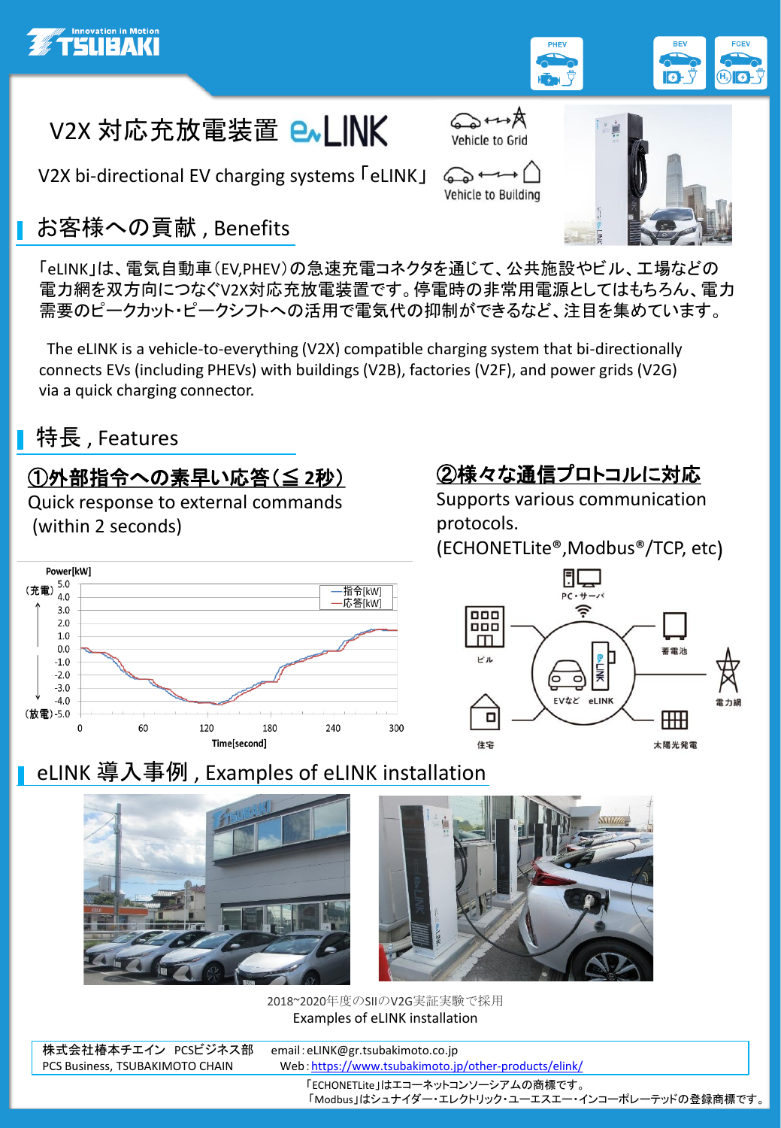





V2X bi-directional EV charging systems 「eLINK」

## お客様への貢献 , Benefits

「eLINK」は、電気自動車(EV,PHEV)の急速充電コネクタを通じて、公共施設やビル、工場などの 電力網を双方向につなぐV2X対応充放電装置です。停電時の非常用電源としてはもちろん、電力 需要のピークカット・ピークシフトへの活用で電気代の抑制ができるなど、注目を集めています。

The eLINK is a vehicle-to-everything (V2X) compatible charging system that bi-directionally connects EVs (including PHEVs) with buildings (V2B), factories (V2F), and power grids (V2G) via a quick charging connector.

## **■特長**, Features

## ①外部指令への素早い応答(≦ **2**秒)

Quick response to external commands (within 2 seconds)

# ②様々な通信プロトコルに対応

systemto achievehighly effcient powertransmission.

 $T \rightarrow \rho \rightarrow \rho$ 

 $\bigcirc$ Vehicle to Building

Supports various communication protocols.

(ECHONETLite®,Modbus®/TCP, etc)





#### eLINK 導入事例 , Examples of eLINK installation





2018~2020年度のSIIのV2G実証実験で採用 Examples of eLINK installation

| 株式会社椿本チエイン PCSビジネス部             | email: eLINK@gr.tsubakimoto.co.jp                     |
|---------------------------------|-------------------------------------------------------|
| PCS Business, TSUBAKIMOTO CHAIN | Web: https://www.tsubakimoto.jp/other-products/elink/ |
|                                 | 「ECHONETLite」はエコーネットコンソーシアムの商標です。                     |
|                                 | 「Modbus」はシュナイダー・エレクトリック・ユーエスエー・インコーポレーテッドの登録商標です。     |
|                                 |                                                       |